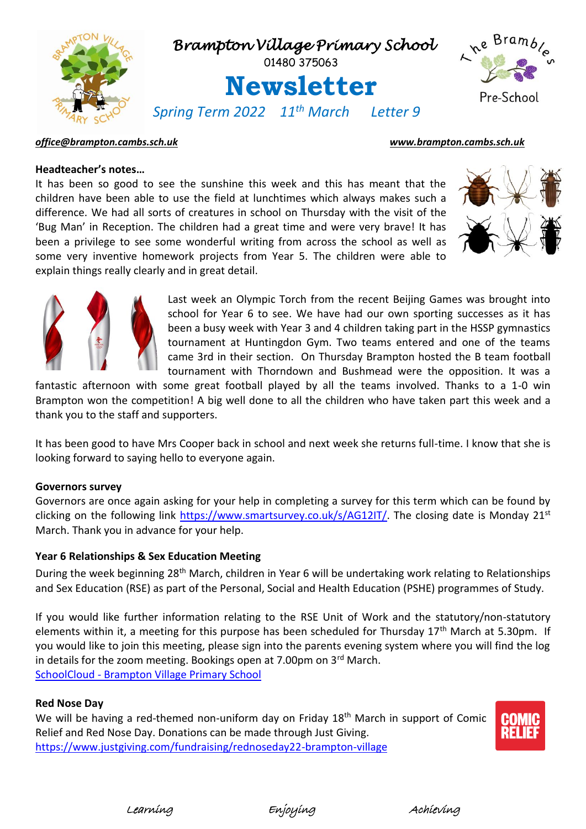

## *[office@brampton.cambs.sch.uk](mailto:office@brampton.cambs.sch.uk) [www.brampton.cambs.sch.uk](http://www.brampton.cambs.sch.uk/)*

## **Headteacher's notes…**

It has been so good to see the sunshine this week and this has meant that the children have been able to use the field at lunchtimes which always makes such a difference. We had all sorts of creatures in school on Thursday with the visit of the 'Bug Man' in Reception. The children had a great time and were very brave! It has been a privilege to see some wonderful writing from across the school as well as some very inventive homework projects from Year 5. The children were able to explain things really clearly and in great detail.





Last week an Olympic Torch from the recent Beijing Games was brought into school for Year 6 to see. We have had our own sporting successes as it has been a busy week with Year 3 and 4 children taking part in the HSSP gymnastics tournament at Huntingdon Gym. Two teams entered and one of the teams came 3rd in their section. On Thursday Brampton hosted the B team football tournament with Thorndown and Bushmead were the opposition. It was a

fantastic afternoon with some great football played by all the teams involved. Thanks to a 1-0 win Brampton won the competition! A big well done to all the children who have taken part this week and a thank you to the staff and supporters.

It has been good to have Mrs Cooper back in school and next week she returns full-time. I know that she is looking forward to saying hello to everyone again.

### **Governors survey**

Governors are once again asking for your help in completing a survey for this term which can be found by clicking on the following link [https://www.smartsurvey.co.uk/s/AG12IT/.](https://www.smartsurvey.co.uk/s/AG12IT/) The closing date is Monday 21st March. Thank you in advance for your help.

# **Year 6 Relationships & Sex Education Meeting**

During the week beginning 28<sup>th</sup> March, children in Year 6 will be undertaking work relating to Relationships and Sex Education (RSE) as part of the Personal, Social and Health Education (PSHE) programmes of Study.

If you would like further information relating to the RSE Unit of Work and the statutory/non-statutory elements within it, a meeting for this purpose has been scheduled for Thursday 17<sup>th</sup> March at 5.30pm. If you would like to join this meeting, please sign into the parents evening system where you will find the log in details for the zoom meeting. Bookings open at 7.00pm on 3rd March. SchoolCloud - [Brampton Village Primary School](https://bramptonvillage.schoolcloud.co.uk/)

#### **Red Nose Day**

We will be having a red-themed non-uniform day on Friday 18<sup>th</sup> March in support of Comic Relief and Red Nose Day. Donations can be made through Just Giving. <https://www.justgiving.com/fundraising/rednoseday22-brampton-village>